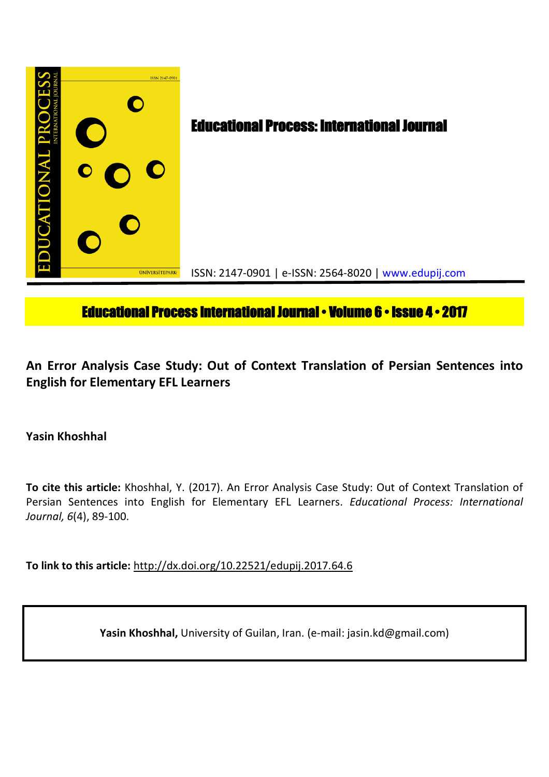

# **Educational Process International Journal • Volume 6 • Issue 4 • 2017**

**An Error Analysis Case Study: Out of Context Translation of Persian Sentences into English for Elementary EFL Learners**

**Yasin Khoshhal**

**To cite this article:** Khoshhal, Y. (2017). An Error Analysis Case Study: Out of Context Translation of Persian Sentences into English for Elementary EFL Learners. *Educational Process: International Journal, 6*(4), 89-100.

**To link to this article:** http://dx.doi.org/10.22521/edupij.2017.64.6

**Yasin Khoshhal,** University of Guilan, Iran. (e-mail: jasin.kd@gmail.com)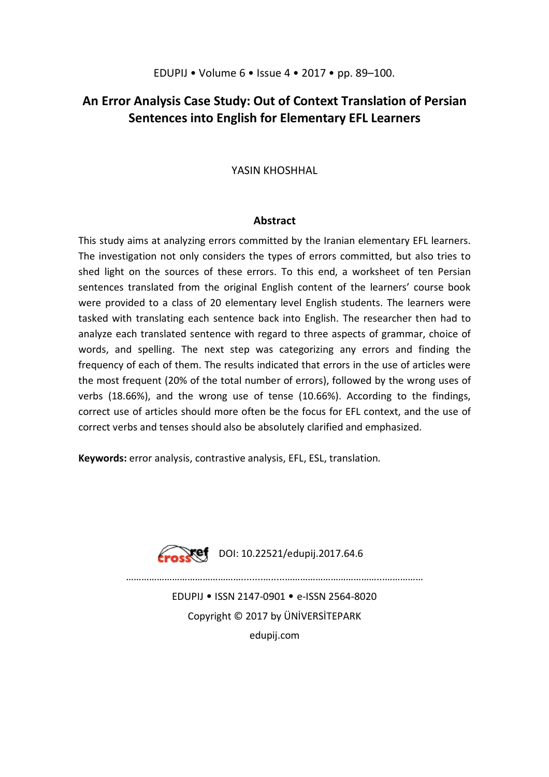## **An Error Analysis Case Study: Out of Context Translation of Persian Sentences into English for Elementary EFL Learners**

YASIN KHOSHHAL

### **Abstract**

This study aims at analyzing errors committed by the Iranian elementary EFL learners. The investigation not only considers the types of errors committed, but also tries to shed light on the sources of these errors. To this end, a worksheet of ten Persian sentences translated from the original English content of the learners' course book were provided to a class of 20 elementary level English students. The learners were tasked with translating each sentence back into English. The researcher then had to analyze each translated sentence with regard to three aspects of grammar, choice of words, and spelling. The next step was categorizing any errors and finding the frequency of each of them. The results indicated that errors in the use of articles were the most frequent (20% of the total number of errors), followed by the wrong uses of verbs (18.66%), and the wrong use of tense (10.66%). According to the findings, correct use of articles should more often be the focus for EFL context, and the use of correct verbs and tenses should also be absolutely clarified and emphasized.

**Keywords:** error analysis, contrastive analysis, EFL, ESL, translation.



 $\sqrt{\frac{1}{2}}$  DOI: 10.22521/edupij.2017.64.6

………………………………………........….....………………………………...……………

EDUPIJ • ISSN 2147-0901 • e-ISSN 2564-8020 Copyright © 2017 by ÜNİVERSİTEPARK edupij.com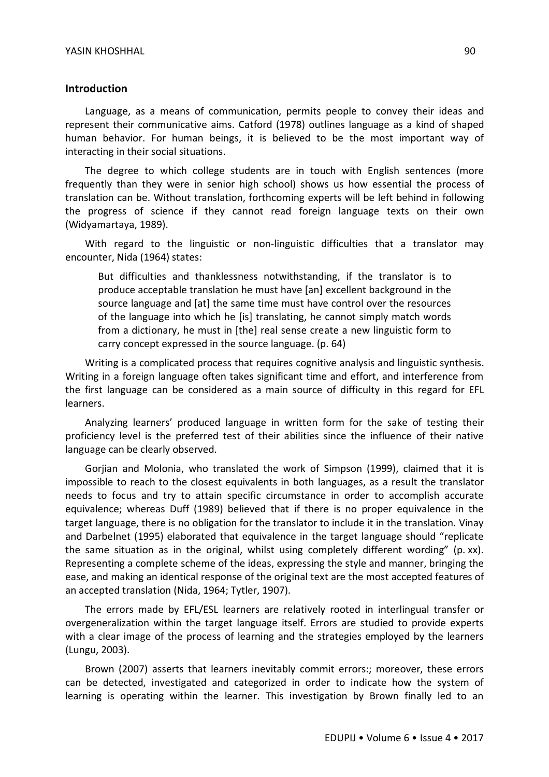#### **Introduction**

Language, as a means of communication, permits people to convey their ideas and represent their communicative aims. Catford (1978) outlines language as a kind of shaped human behavior. For human beings, it is believed to be the most important way of interacting in their social situations.

The degree to which college students are in touch with English sentences (more frequently than they were in senior high school) shows us how essential the process of translation can be. Without translation, forthcoming experts will be left behind in following the progress of science if they cannot read foreign language texts on their own (Widyamartaya, 1989).

With regard to the linguistic or non-linguistic difficulties that a translator may encounter, Nida (1964) states:

But difficulties and thanklessness notwithstanding, if the translator is to produce acceptable translation he must have [an] excellent background in the source language and [at] the same time must have control over the resources of the language into which he [is] translating, he cannot simply match words from a dictionary, he must in [the] real sense create a new linguistic form to carry concept expressed in the source language. (p. 64)

Writing is a complicated process that requires cognitive analysis and linguistic synthesis. Writing in a foreign language often takes significant time and effort, and interference from the first language can be considered as a main source of difficulty in this regard for EFL learners.

Analyzing learners' produced language in written form for the sake of testing their proficiency level is the preferred test of their abilities since the influence of their native language can be clearly observed.

Gorjian and Molonia, who translated the work of Simpson (1999), claimed that it is impossible to reach to the closest equivalents in both languages, as a result the translator needs to focus and try to attain specific circumstance in order to accomplish accurate equivalence; whereas Duff (1989) believed that if there is no proper equivalence in the target language, there is no obligation for the translator to include it in the translation. Vinay and Darbelnet (1995) elaborated that equivalence in the target language should "replicate the same situation as in the original, whilst using completely different wording" (p. xx). Representing a complete scheme of the ideas, expressing the style and manner, bringing the ease, and making an identical response of the original text are the most accepted features of an accepted translation (Nida, 1964; Tytler, 1907).

The errors made by EFL/ESL learners are relatively rooted in interlingual transfer or overgeneralization within the target language itself. Errors are studied to provide experts with a clear image of the process of learning and the strategies employed by the learners (Lungu, 2003).

Brown (2007) asserts that learners inevitably commit errors:; moreover, these errors can be detected, investigated and categorized in order to indicate how the system of learning is operating within the learner. This investigation by Brown finally led to an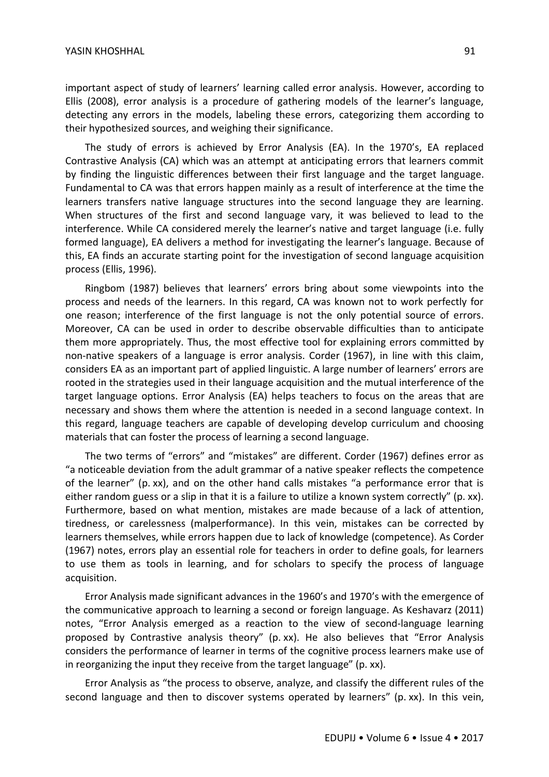important aspect of study of learners' learning called error analysis. However, according to Ellis (2008), error analysis is a procedure of gathering models of the learner's language, detecting any errors in the models, labeling these errors, categorizing them according to their hypothesized sources, and weighing their significance.

The study of errors is achieved by Error Analysis (EA). In the 1970's, EA replaced Contrastive Analysis (CA) which was an attempt at anticipating errors that learners commit by finding the linguistic differences between their first language and the target language. Fundamental to CA was that errors happen mainly as a result of interference at the time the learners transfers native language structures into the second language they are learning. When structures of the first and second language vary, it was believed to lead to the interference. While CA considered merely the learner's native and target language (i.e. fully formed language), EA delivers a method for investigating the learner's language. Because of this, EA finds an accurate starting point for the investigation of second language acquisition process (Ellis, 1996).

Ringbom (1987) believes that learners' errors bring about some viewpoints into the process and needs of the learners. In this regard, CA was known not to work perfectly for one reason; interference of the first language is not the only potential source of errors. Moreover, CA can be used in order to describe observable difficulties than to anticipate them more appropriately. Thus, the most effective tool for explaining errors committed by non-native speakers of a language is error analysis. Corder (1967), in line with this claim, considers EA as an important part of applied linguistic. A large number of learners' errors are rooted in the strategies used in their language acquisition and the mutual interference of the target language options. Error Analysis (EA) helps teachers to focus on the areas that are necessary and shows them where the attention is needed in a second language context. In this regard, language teachers are capable of developing develop curriculum and choosing materials that can foster the process of learning a second language.

The two terms of "errors" and "mistakes" are different. Corder (1967) defines error as "a noticeable deviation from the adult grammar of a native speaker reflects the competence of the learner" (p. xx), and on the other hand calls mistakes "a performance error that is either random guess or a slip in that it is a failure to utilize a known system correctly" (p. xx). Furthermore, based on what mention, mistakes are made because of a lack of attention, tiredness, or carelessness (malperformance). In this vein, mistakes can be corrected by learners themselves, while errors happen due to lack of knowledge (competence). As Corder (1967) notes, errors play an essential role for teachers in order to define goals, for learners to use them as tools in learning, and for scholars to specify the process of language acquisition.

Error Analysis made significant advances in the 1960's and 1970's with the emergence of the communicative approach to learning a second or foreign language. As Keshavarz (2011) notes, "Error Analysis emerged as a reaction to the view of second-language learning proposed by Contrastive analysis theory" (p. xx). He also believes that "Error Analysis considers the performance of learner in terms of the cognitive process learners make use of in reorganizing the input they receive from the target language" (p. xx).

Error Analysis as "the process to observe, analyze, and classify the different rules of the second language and then to discover systems operated by learners" (p. xx). In this vein,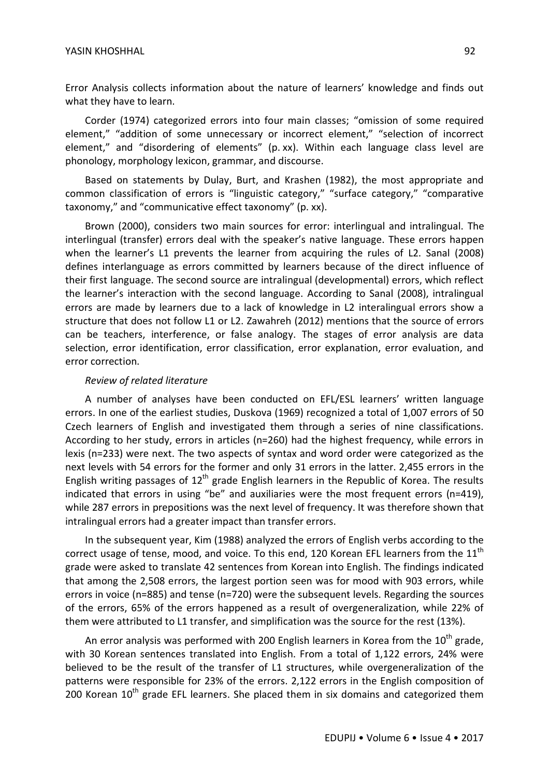Error Analysis collects information about the nature of learners' knowledge and finds out what they have to learn.

Corder (1974) categorized errors into four main classes; "omission of some required element," "addition of some unnecessary or incorrect element," "selection of incorrect element," and "disordering of elements" (p. xx). Within each language class level are phonology, morphology lexicon, grammar, and discourse.

Based on statements by Dulay, Burt, and Krashen (1982), the most appropriate and common classification of errors is "linguistic category," "surface category," "comparative taxonomy," and "communicative effect taxonomy" (p. xx).

Brown (2000), considers two main sources for error: interlingual and intralingual. The interlingual (transfer) errors deal with the speaker's native language. These errors happen when the learner's L1 prevents the learner from acquiring the rules of L2. Sanal (2008) defines interlanguage as errors committed by learners because of the direct influence of their first language. The second source are intralingual (developmental) errors, which reflect the learner's interaction with the second language. According to Sanal (2008), intralingual errors are made by learners due to a lack of knowledge in L2 interalingual errors show a structure that does not follow L1 or L2. Zawahreh (2012) mentions that the source of errors can be teachers, interference, or false analogy. The stages of error analysis are data selection, error identification, error classification, error explanation, error evaluation, and error correction.

#### *Review of related literature*

A number of analyses have been conducted on EFL/ESL learners' written language errors. In one of the earliest studies, Duskova (1969) recognized a total of 1,007 errors of 50 Czech learners of English and investigated them through a series of nine classifications. According to her study, errors in articles (n=260) had the highest frequency, while errors in lexis (n=233) were next. The two aspects of syntax and word order were categorized as the next levels with 54 errors for the former and only 31 errors in the latter. 2,455 errors in the English writing passages of  $12<sup>th</sup>$  grade English learners in the Republic of Korea. The results indicated that errors in using "be" and auxiliaries were the most frequent errors (n=419), while 287 errors in prepositions was the next level of frequency. It was therefore shown that intralingual errors had a greater impact than transfer errors.

In the subsequent year, Kim (1988) analyzed the errors of English verbs according to the correct usage of tense, mood, and voice. To this end, 120 Korean EFL learners from the  $11<sup>th</sup>$ grade were asked to translate 42 sentences from Korean into English. The findings indicated that among the 2,508 errors, the largest portion seen was for mood with 903 errors, while errors in voice (n=885) and tense (n=720) were the subsequent levels. Regarding the sources of the errors, 65% of the errors happened as a result of overgeneralization, while 22% of them were attributed to L1 transfer, and simplification was the source for the rest (13%).

An error analysis was performed with 200 English learners in Korea from the  $10^{th}$  grade, with 30 Korean sentences translated into English. From a total of 1,122 errors, 24% were believed to be the result of the transfer of L1 structures, while overgeneralization of the patterns were responsible for 23% of the errors. 2,122 errors in the English composition of 200 Korean  $10^{th}$  grade EFL learners. She placed them in six domains and categorized them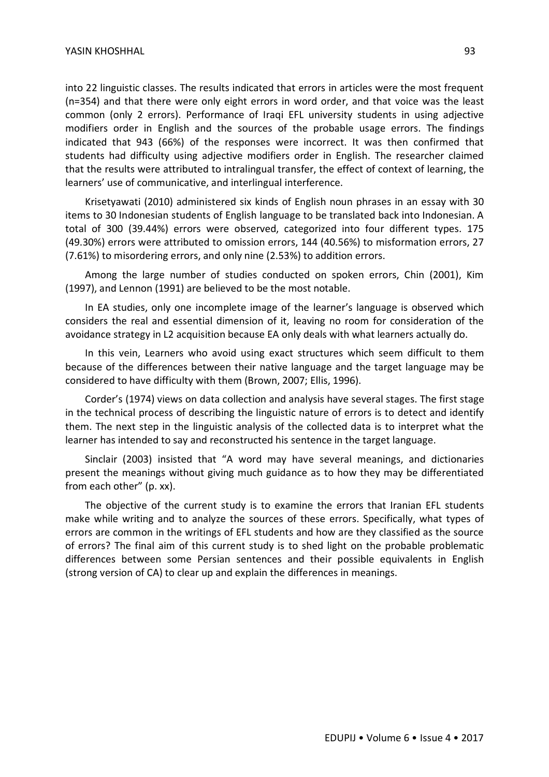into 22 linguistic classes. The results indicated that errors in articles were the most frequent (n=354) and that there were only eight errors in word order, and that voice was the least common (only 2 errors). Performance of Iraqi EFL university students in using adjective modifiers order in English and the sources of the probable usage errors. The findings indicated that 943 (66%) of the responses were incorrect. It was then confirmed that students had difficulty using adjective modifiers order in English. The researcher claimed that the results were attributed to intralingual transfer, the effect of context of learning, the learners' use of communicative, and interlingual interference.

Krisetyawati (2010) administered six kinds of English noun phrases in an essay with 30 items to 30 Indonesian students of English language to be translated back into Indonesian. A total of 300 (39.44%) errors were observed, categorized into four different types. 175 (49.30%) errors were attributed to omission errors, 144 (40.56%) to misformation errors, 27 (7.61%) to misordering errors, and only nine (2.53%) to addition errors.

Among the large number of studies conducted on spoken errors, Chin (2001), Kim (1997), and Lennon (1991) are believed to be the most notable.

In EA studies, only one incomplete image of the learner's language is observed which considers the real and essential dimension of it, leaving no room for consideration of the avoidance strategy in L2 acquisition because EA only deals with what learners actually do.

In this vein, Learners who avoid using exact structures which seem difficult to them because of the differences between their native language and the target language may be considered to have difficulty with them (Brown, 2007; Ellis, 1996).

Corder's (1974) views on data collection and analysis have several stages. The first stage in the technical process of describing the linguistic nature of errors is to detect and identify them. The next step in the linguistic analysis of the collected data is to interpret what the learner has intended to say and reconstructed his sentence in the target language.

Sinclair (2003) insisted that "A word may have several meanings, and dictionaries present the meanings without giving much guidance as to how they may be differentiated from each other" (p. xx).

The objective of the current study is to examine the errors that Iranian EFL students make while writing and to analyze the sources of these errors. Specifically, what types of errors are common in the writings of EFL students and how are they classified as the source of errors? The final aim of this current study is to shed light on the probable problematic differences between some Persian sentences and their possible equivalents in English (strong version of CA) to clear up and explain the differences in meanings.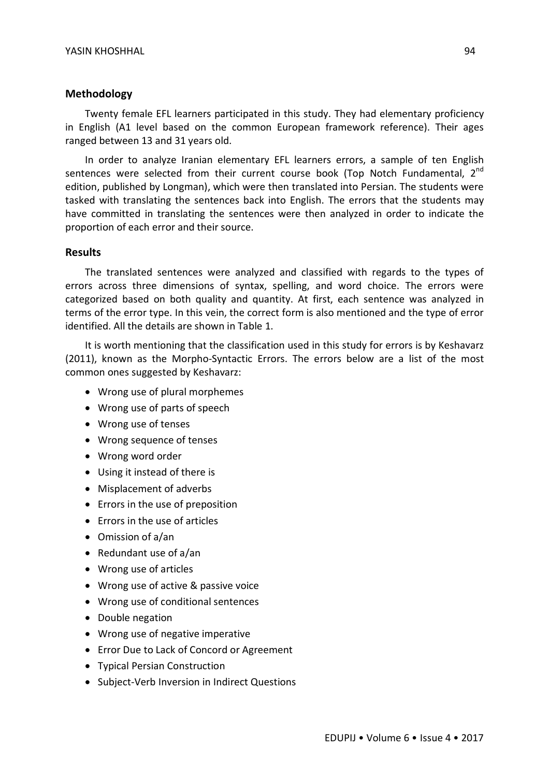#### **Methodology**

Twenty female EFL learners participated in this study. They had elementary proficiency in English (A1 level based on the common European framework reference). Their ages ranged between 13 and 31 years old.

In order to analyze Iranian elementary EFL learners errors, a sample of ten English sentences were selected from their current course book (Top Notch Fundamental,  $2<sup>na</sup>$ edition, published by Longman), which were then translated into Persian. The students were tasked with translating the sentences back into English. The errors that the students may have committed in translating the sentences were then analyzed in order to indicate the proportion of each error and their source.

#### **Results**

The translated sentences were analyzed and classified with regards to the types of errors across three dimensions of syntax, spelling, and word choice. The errors were categorized based on both quality and quantity. At first, each sentence was analyzed in terms of the error type. In this vein, the correct form is also mentioned and the type of error identified. All the details are shown in Table 1.

It is worth mentioning that the classification used in this study for errors is by Keshavarz (2011), known as the Morpho-Syntactic Errors. The errors below are a list of the most common ones suggested by Keshavarz:

- Wrong use of plural morphemes
- Wrong use of parts of speech
- Wrong use of tenses
- Wrong sequence of tenses
- Wrong word order
- Using it instead of there is
- Misplacement of adverbs
- Errors in the use of preposition
- Errors in the use of articles
- Omission of a/an
- Redundant use of  $a$ /an
- Wrong use of articles
- Wrong use of active & passive voice
- Wrong use of conditional sentences
- Double negation
- Wrong use of negative imperative
- Error Due to Lack of Concord or Agreement
- Typical Persian Construction
- Subject-Verb Inversion in Indirect Questions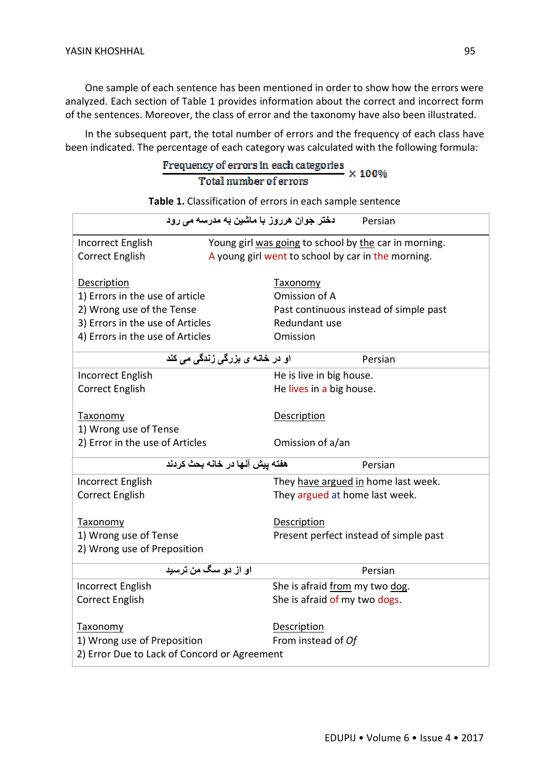One sample of each sentence has been mentioned in order to show how the errors were analyzed. Each section of Table 1 provides information about the correct and incorrect form of the sentences. Moreover, the class of error and the taxonomy have also been illustrated.

In the subsequent part, the total number of errors and the frequency of each class have been indicated. The percentage of each category was calculated with the following formula:<br> $\frac{Frequency \text{ of errors in each categories}}{X \cdot 100\%}$ 

# Total number of errors

**Table 1.** Classification of errors in each sample sentence

| دختر جوا <i>ن</i> هرروز با ماشین به مدرسه م <i>ی</i> رود<br>Persian |                                                       |         |  |  |  |
|---------------------------------------------------------------------|-------------------------------------------------------|---------|--|--|--|
| Incorrect English                                                   | Young girl was going to school by the car in morning. |         |  |  |  |
| <b>Correct English</b>                                              | A young girl went to school by car in the morning.    |         |  |  |  |
|                                                                     |                                                       |         |  |  |  |
| <b>Description</b>                                                  | <b>Taxonomy</b>                                       |         |  |  |  |
| 1) Errors in the use of article                                     | Omission of A                                         |         |  |  |  |
| 2) Wrong use of the Tense                                           | Past continuous instead of simple past                |         |  |  |  |
| 3) Errors in the use of Articles                                    | Redundant use                                         |         |  |  |  |
| 4) Errors in the use of Articles                                    | Omission                                              |         |  |  |  |
| او در خانـه ی بزرگ <i>ی</i> زندگ <i>ی</i> می کند                    |                                                       | Persian |  |  |  |
| Incorrect English                                                   | He is live in big house.                              |         |  |  |  |
| <b>Correct English</b>                                              | He lives in a big house.                              |         |  |  |  |
|                                                                     |                                                       |         |  |  |  |
| <b>Taxonomy</b>                                                     | <b>Description</b>                                    |         |  |  |  |
| 1) Wrong use of Tense                                               |                                                       |         |  |  |  |
| 2) Error in the use of Articles                                     | Omission of a/an                                      |         |  |  |  |
| هفته ييش آنها در خانه بحث كردند<br>Persian                          |                                                       |         |  |  |  |
| Incorrect English                                                   | They have argued in home last week.                   |         |  |  |  |
| <b>Correct English</b>                                              | They argued at home last week.                        |         |  |  |  |
|                                                                     |                                                       |         |  |  |  |
| <b>Taxonomy</b>                                                     | Description                                           |         |  |  |  |
| 1) Wrong use of Tense                                               | Present perfect instead of simple past                |         |  |  |  |
| 2) Wrong use of Preposition                                         |                                                       |         |  |  |  |
| او از دو سگ من ترسید                                                |                                                       | Persian |  |  |  |
| Incorrect English                                                   | She is afraid from my two dog.                        |         |  |  |  |
| <b>Correct English</b>                                              | She is afraid of my two dogs.                         |         |  |  |  |
|                                                                     |                                                       |         |  |  |  |
| Taxonomy                                                            | Description                                           |         |  |  |  |
| 1) Wrong use of Preposition                                         | From instead of Of                                    |         |  |  |  |
| 2) Error Due to Lack of Concord or Agreement                        |                                                       |         |  |  |  |
|                                                                     |                                                       |         |  |  |  |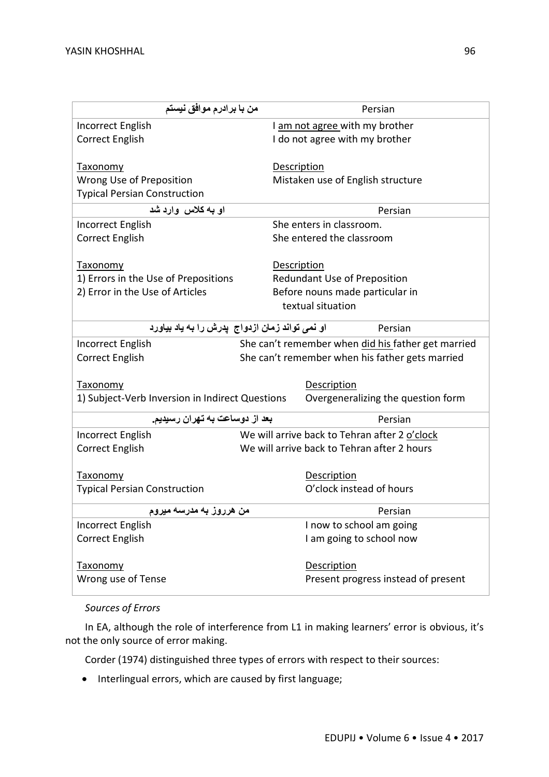| من با برادرم موافق نيستم                        |                                                    | Persian                                       |  |  |
|-------------------------------------------------|----------------------------------------------------|-----------------------------------------------|--|--|
| Incorrect English                               |                                                    | I am not agree with my brother                |  |  |
| <b>Correct English</b>                          |                                                    | I do not agree with my brother                |  |  |
|                                                 |                                                    |                                               |  |  |
| Taxonomy                                        |                                                    | Description                                   |  |  |
| Wrong Use of Preposition                        |                                                    | Mistaken use of English structure             |  |  |
| <b>Typical Persian Construction</b>             |                                                    |                                               |  |  |
| او به کلاس وارد شد                              |                                                    | Persian                                       |  |  |
| Incorrect English                               |                                                    | She enters in classroom.                      |  |  |
| <b>Correct English</b>                          |                                                    | She entered the classroom                     |  |  |
|                                                 |                                                    |                                               |  |  |
| <b>Taxonomy</b>                                 |                                                    | Description                                   |  |  |
| 1) Errors in the Use of Prepositions            |                                                    | Redundant Use of Preposition                  |  |  |
| 2) Error in the Use of Articles                 |                                                    | Before nouns made particular in               |  |  |
|                                                 |                                                    | textual situation                             |  |  |
| او نمی تواند زمان ازدواج  پدرش را به یاد بیاورد |                                                    | Persian                                       |  |  |
| Incorrect English                               | She can't remember when did his father get married |                                               |  |  |
| <b>Correct English</b>                          | She can't remember when his father gets married    |                                               |  |  |
|                                                 |                                                    |                                               |  |  |
| Taxonomy                                        |                                                    | Description                                   |  |  |
| 1) Subject-Verb Inversion in Indirect Questions |                                                    | Overgeneralizing the question form            |  |  |
| بعد از دوساعت به تهران رسیدیم.                  |                                                    | Persian                                       |  |  |
| Incorrect English                               |                                                    | We will arrive back to Tehran after 2 o'clock |  |  |
| <b>Correct English</b>                          |                                                    | We will arrive back to Tehran after 2 hours   |  |  |
|                                                 |                                                    |                                               |  |  |
| <b>Taxonomy</b>                                 |                                                    | Description                                   |  |  |
| <b>Typical Persian Construction</b>             |                                                    | O'clock instead of hours                      |  |  |
| من هرروز به مدرسه میروم                         |                                                    | Persian                                       |  |  |
| Incorrect English                               |                                                    | I now to school am going                      |  |  |
| <b>Correct English</b>                          |                                                    | I am going to school now                      |  |  |
|                                                 |                                                    |                                               |  |  |
| <b>Taxonomy</b>                                 |                                                    | <b>Description</b>                            |  |  |
| Wrong use of Tense                              |                                                    | Present progress instead of present           |  |  |

## *Sources of Errors*

In EA, although the role of interference from L1 in making learners' error is obvious, it's not the only source of error making.

Corder (1974) distinguished three types of errors with respect to their sources:

• Interlingual errors, which are caused by first language;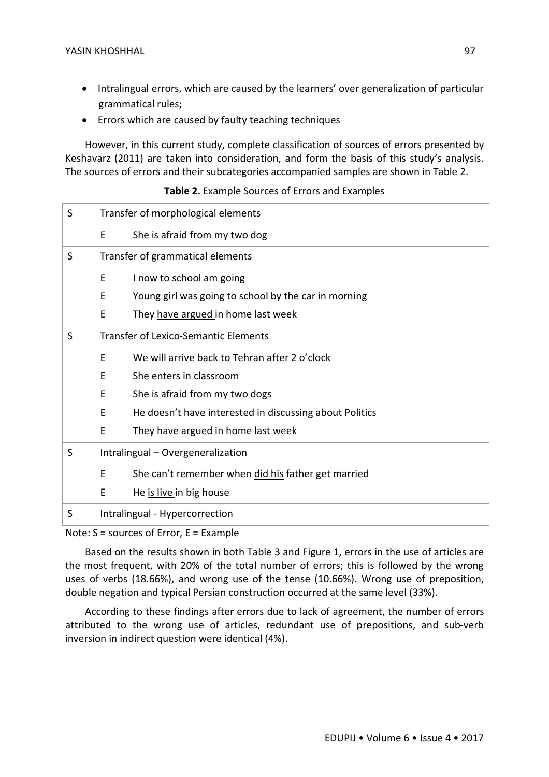- Intralingual errors, which are caused by the learners' over generalization of particular grammatical rules;
- Errors which are caused by faulty teaching techniques

However, in this current study, complete classification of sources of errors presented by Keshavarz (2011) are taken into consideration, and form the basis of this study's analysis. The sources of errors and their subcategories accompanied samples are shown in Table 2.

#### **Table 2.** Example Sources of Errors and Examples

| S | Transfer of morphological elements |                                                         |  |  |  |
|---|------------------------------------|---------------------------------------------------------|--|--|--|
|   | E                                  | She is afraid from my two dog                           |  |  |  |
| S | Transfer of grammatical elements   |                                                         |  |  |  |
|   | Ε                                  | I now to school am going                                |  |  |  |
|   | E                                  | Young girl was going to school by the car in morning    |  |  |  |
|   | Ε                                  | They have argued in home last week                      |  |  |  |
| S |                                    | <b>Transfer of Lexico-Semantic Elements</b>             |  |  |  |
|   | E                                  | We will arrive back to Tehran after 2 o'clock           |  |  |  |
|   | E                                  | She enters in classroom                                 |  |  |  |
|   | E                                  | She is afraid from my two dogs                          |  |  |  |
|   | E                                  | He doesn't have interested in discussing about Politics |  |  |  |
|   | E                                  | They have argued in home last week                      |  |  |  |
| S | Intralingual - Overgeneralization  |                                                         |  |  |  |
|   | E                                  | She can't remember when did his father get married      |  |  |  |
|   | E                                  | He is live in big house                                 |  |  |  |
| S | Intralingual - Hypercorrection     |                                                         |  |  |  |

Note: S = sources of Error, E = Example

Based on the results shown in both Table 3 and Figure 1, errors in the use of articles are the most frequent, with 20% of the total number of errors; this is followed by the wrong uses of verbs (18.66%), and wrong use of the tense (10.66%). Wrong use of preposition, double negation and typical Persian construction occurred at the same level (33%).

According to these findings after errors due to lack of agreement, the number of errors attributed to the wrong use of articles, redundant use of prepositions, and sub-verb inversion in indirect question were identical (4%).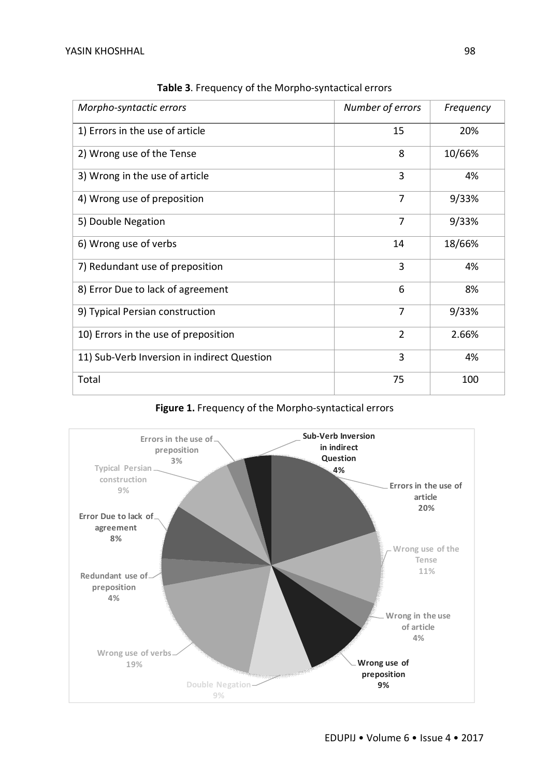| Morpho-syntactic errors                     | Number of errors | Frequency |
|---------------------------------------------|------------------|-----------|
| 1) Errors in the use of article             | 15               | 20%       |
| 2) Wrong use of the Tense                   | 8                | 10/66%    |
| 3) Wrong in the use of article              | 3                | 4%        |
| 4) Wrong use of preposition                 | 7                | 9/33%     |
| 5) Double Negation                          | 7                | 9/33%     |
| 6) Wrong use of verbs                       | 14               | 18/66%    |
| 7) Redundant use of preposition             | 3                | 4%        |
| 8) Error Due to lack of agreement           | 6                | 8%        |
| 9) Typical Persian construction             | $\overline{7}$   | 9/33%     |
| 10) Errors in the use of preposition        | $\overline{2}$   | 2.66%     |
| 11) Sub-Verb Inversion in indirect Question | 3                | 4%        |
| Total                                       | 75               | 100       |

**Table 3**. Frequency of the Morpho-syntactical errors

**Figure 1.** Frequency of the Morpho-syntactical errors

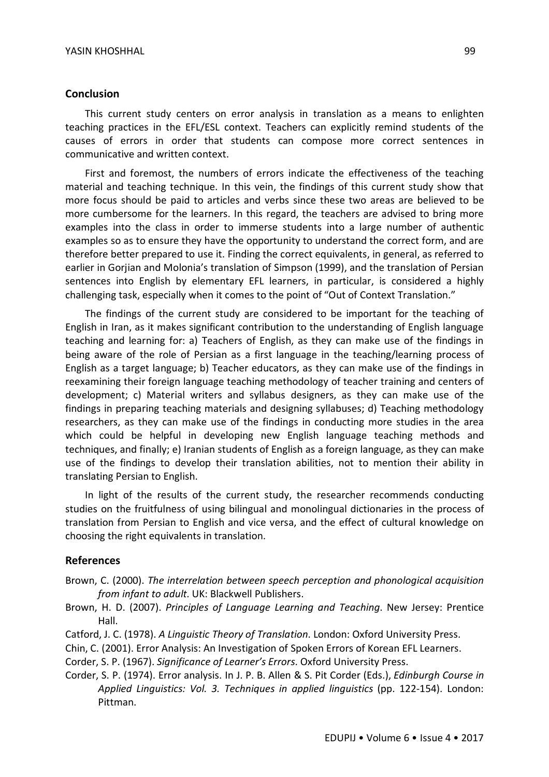#### **Conclusion**

This current study centers on error analysis in translation as a means to enlighten teaching practices in the EFL/ESL context. Teachers can explicitly remind students of the causes of errors in order that students can compose more correct sentences in communicative and written context.

First and foremost, the numbers of errors indicate the effectiveness of the teaching material and teaching technique. In this vein, the findings of this current study show that more focus should be paid to articles and verbs since these two areas are believed to be more cumbersome for the learners. In this regard, the teachers are advised to bring more examples into the class in order to immerse students into a large number of authentic examples so as to ensure they have the opportunity to understand the correct form, and are therefore better prepared to use it. Finding the correct equivalents, in general, as referred to earlier in Gorjian and Molonia's translation of Simpson (1999), and the translation of Persian sentences into English by elementary EFL learners, in particular, is considered a highly challenging task, especially when it comes to the point of "Out of Context Translation."

The findings of the current study are considered to be important for the teaching of English in Iran, as it makes significant contribution to the understanding of English language teaching and learning for: a) Teachers of English, as they can make use of the findings in being aware of the role of Persian as a first language in the teaching/learning process of English as a target language; b) Teacher educators, as they can make use of the findings in reexamining their foreign language teaching methodology of teacher training and centers of development; c) Material writers and syllabus designers, as they can make use of the findings in preparing teaching materials and designing syllabuses; d) Teaching methodology researchers, as they can make use of the findings in conducting more studies in the area which could be helpful in developing new English language teaching methods and techniques, and finally; e) Iranian students of English as a foreign language, as they can make use of the findings to develop their translation abilities, not to mention their ability in translating Persian to English.

In light of the results of the current study, the researcher recommends conducting studies on the fruitfulness of using bilingual and monolingual dictionaries in the process of translation from Persian to English and vice versa, and the effect of cultural knowledge on choosing the right equivalents in translation.

#### **References**

- Brown, C. (2000). *The interrelation between speech perception and phonological acquisition from infant to adult*. UK: Blackwell Publishers.
- Brown, H. D. (2007). *Principles of Language Learning and Teaching*. New Jersey: Prentice Hall.
- Catford, J. C. (1978). *A Linguistic Theory of Translation*. London: Oxford University Press.
- Chin, C. (2001). Error Analysis: An Investigation of Spoken Errors of Korean EFL Learners.
- Corder, S. P. (1967). *Significance of Learner's Errors*. Oxford University Press.
- Corder, S. P. (1974). Error analysis. In J. P. B. Allen & S. Pit Corder (Eds.), *Edinburgh Course in Applied Linguistics: Vol. 3. Techniques in applied linguistics* (pp. 122-154). London: Pittman.